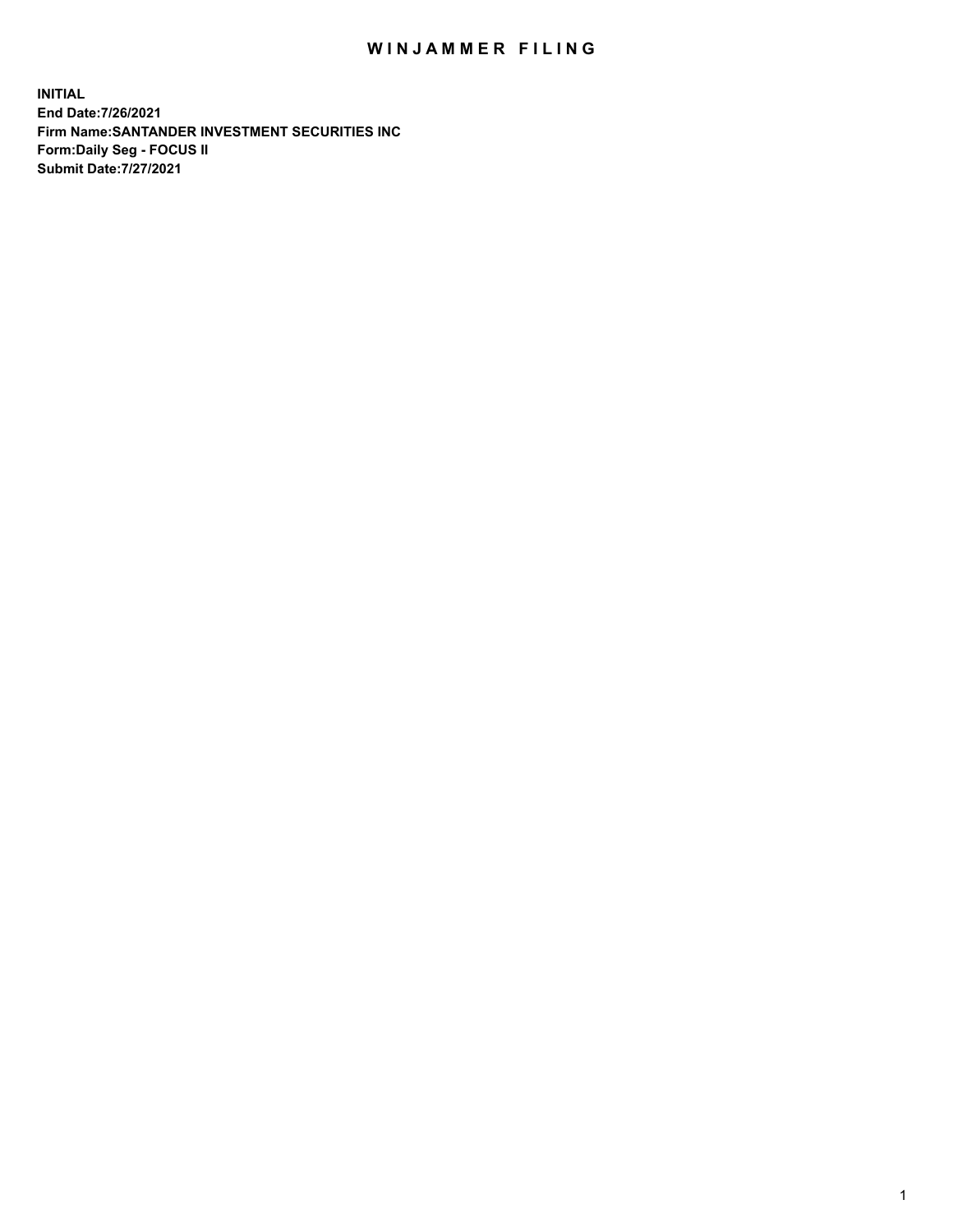## WIN JAMMER FILING

**INITIAL End Date:7/26/2021 Firm Name:SANTANDER INVESTMENT SECURITIES INC Form:Daily Seg - FOCUS II Submit Date:7/27/2021**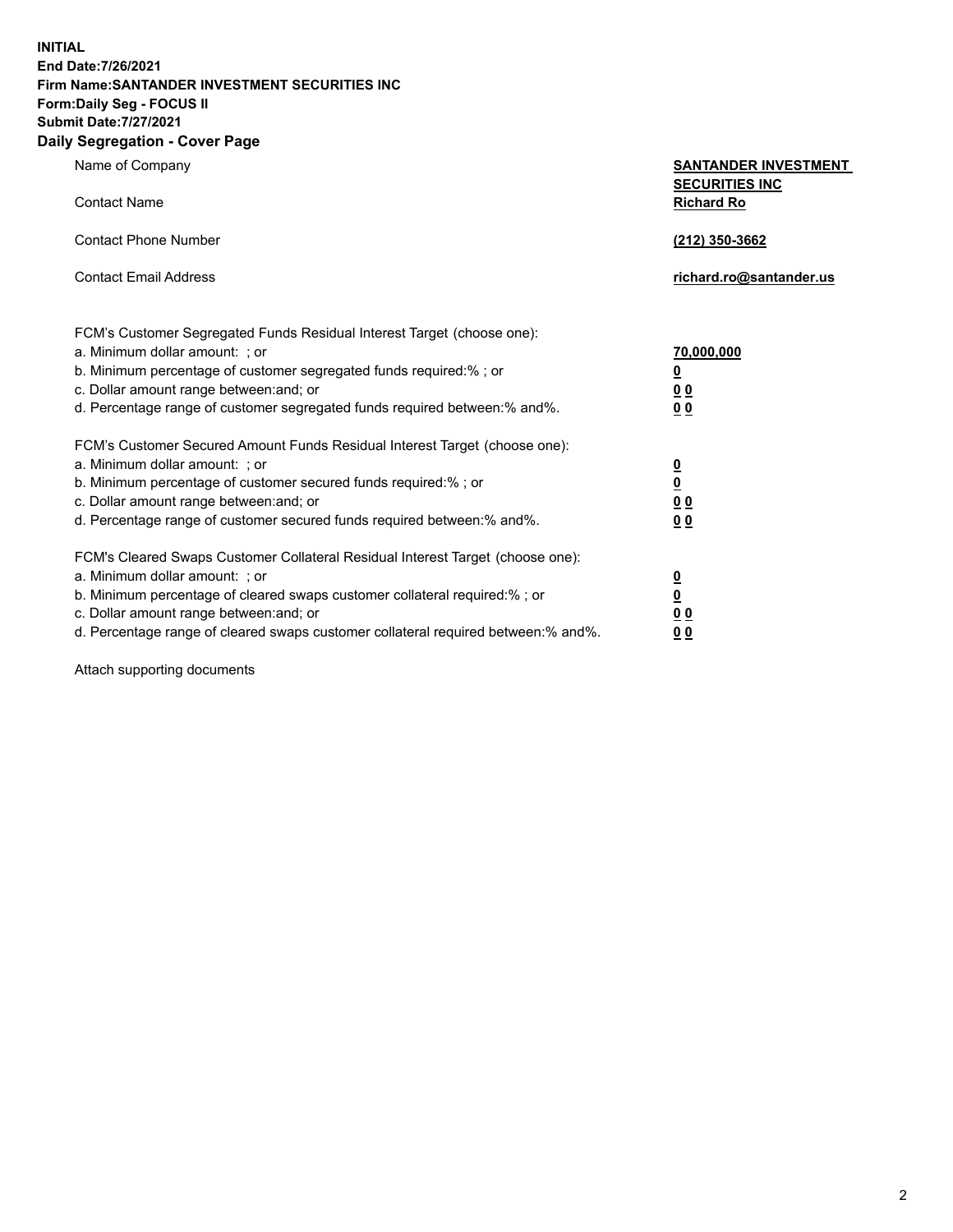**INITIAL End Date:7/26/2021 Firm Name:SANTANDER INVESTMENT SECURITIES INC Form:Daily Seg - FOCUS II Submit Date:7/27/2021 Daily Segregation - Cover Page**

| $\frac{1}{2}$   |                             |
|-----------------|-----------------------------|
| Name of Company | <b>SANTANDER INVESTMENT</b> |
|                 | <b>SECURITIES INC</b>       |
| Contact Name    | <b>Richard Ro</b>           |

| <b>Contact Phone Number</b>                                                                                                                                                                                                                                                                             | (212) 350-3662                     |
|---------------------------------------------------------------------------------------------------------------------------------------------------------------------------------------------------------------------------------------------------------------------------------------------------------|------------------------------------|
| <b>Contact Email Address</b>                                                                                                                                                                                                                                                                            | richard.ro@santander.us            |
| FCM's Customer Segregated Funds Residual Interest Target (choose one):<br>a. Minimum dollar amount: : or<br>b. Minimum percentage of customer segregated funds required:%; or<br>c. Dollar amount range between: and; or<br>d. Percentage range of customer segregated funds required between: % and %. | 70,000,000<br><u>0</u><br>00<br>00 |
| FCM's Customer Secured Amount Funds Residual Interest Target (choose one):                                                                                                                                                                                                                              |                                    |

| FUM S Customer Secured Amount Funds Residual Interest Target (choose one):          |                         |
|-------------------------------------------------------------------------------------|-------------------------|
| a. Minimum dollar amount: ; or                                                      | $\overline{\mathbf{0}}$ |
| b. Minimum percentage of customer secured funds required:%; or                      | $\overline{\mathbf{0}}$ |
| c. Dollar amount range between: and; or                                             | 00                      |
| d. Percentage range of customer secured funds required between:% and%.              | 00                      |
|                                                                                     |                         |
| FCM's Cleared Swaps Customer Collateral Residual Interest Target (choose one):      |                         |
| a. Minimum dollar amount: ; or                                                      | 0                       |
| b. Minimum percentage of cleared swaps customer collateral required:% ; or          | <u>0</u>                |
| c. Dollar amount range between: and; or                                             | 00                      |
| d. Percentage range of cleared swaps customer collateral required between: % and %. | 00                      |
|                                                                                     |                         |

Attach supporting documents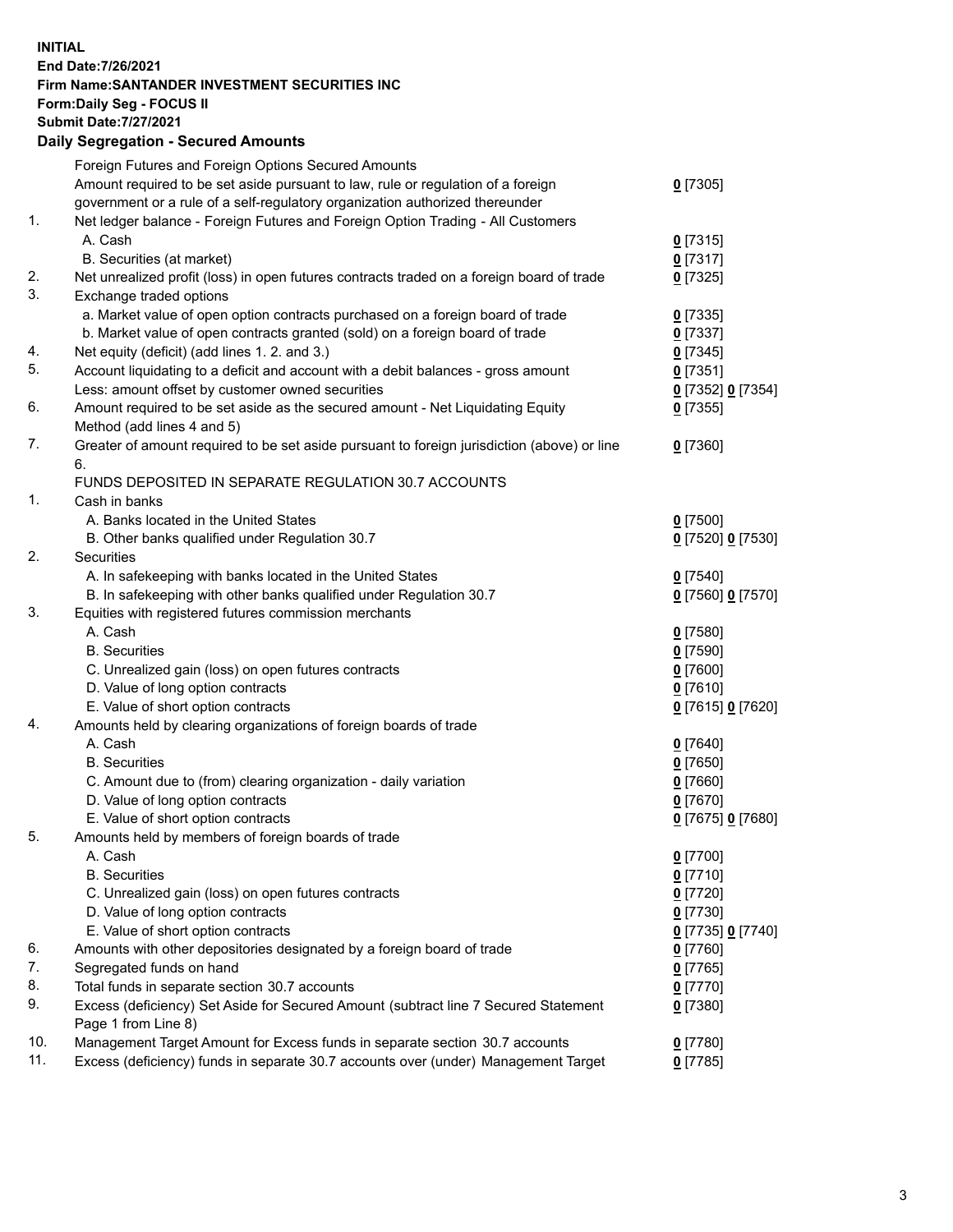**INITIAL End Date:7/26/2021 Firm Name:SANTANDER INVESTMENT SECURITIES INC Form:Daily Seg - FOCUS II Submit Date:7/27/2021 Daily Segregation - Secured Amounts**

|     | Foreign Futures and Foreign Options Secured Amounts                                         |                                   |
|-----|---------------------------------------------------------------------------------------------|-----------------------------------|
|     | Amount required to be set aside pursuant to law, rule or regulation of a foreign            | $0$ [7305]                        |
|     | government or a rule of a self-regulatory organization authorized thereunder                |                                   |
| 1.  | Net ledger balance - Foreign Futures and Foreign Option Trading - All Customers             |                                   |
|     | A. Cash                                                                                     | $0$ [7315]                        |
|     | B. Securities (at market)                                                                   | $0$ [7317]                        |
| 2.  | Net unrealized profit (loss) in open futures contracts traded on a foreign board of trade   | $0$ [7325]                        |
| 3.  | Exchange traded options                                                                     |                                   |
|     | a. Market value of open option contracts purchased on a foreign board of trade              | $0$ [7335]                        |
|     | b. Market value of open contracts granted (sold) on a foreign board of trade                | $0$ [7337]                        |
| 4.  | Net equity (deficit) (add lines 1. 2. and 3.)                                               | $0$ [7345]                        |
| 5.  | Account liquidating to a deficit and account with a debit balances - gross amount           | $0$ [7351]                        |
|     | Less: amount offset by customer owned securities                                            | 0 [7352] 0 [7354]                 |
| 6.  | Amount required to be set aside as the secured amount - Net Liquidating Equity              | $0$ [7355]                        |
|     | Method (add lines 4 and 5)                                                                  |                                   |
| 7.  | Greater of amount required to be set aside pursuant to foreign jurisdiction (above) or line | $0$ [7360]                        |
|     | 6.                                                                                          |                                   |
|     | FUNDS DEPOSITED IN SEPARATE REGULATION 30.7 ACCOUNTS                                        |                                   |
| 1.  | Cash in banks                                                                               |                                   |
|     | A. Banks located in the United States                                                       | $0$ [7500]                        |
|     | B. Other banks qualified under Regulation 30.7                                              | 0 [7520] 0 [7530]                 |
| 2.  | <b>Securities</b>                                                                           |                                   |
|     | A. In safekeeping with banks located in the United States                                   | $0$ [7540]                        |
|     | B. In safekeeping with other banks qualified under Regulation 30.7                          | 0 [7560] 0 [7570]                 |
| 3.  | Equities with registered futures commission merchants                                       |                                   |
|     | A. Cash                                                                                     | $0$ [7580]                        |
|     | <b>B.</b> Securities                                                                        | $0$ [7590]                        |
|     | C. Unrealized gain (loss) on open futures contracts                                         | $0$ [7600]                        |
|     | D. Value of long option contracts                                                           | $0$ [7610]                        |
|     | E. Value of short option contracts                                                          | 0 [7615] 0 [7620]                 |
| 4.  | Amounts held by clearing organizations of foreign boards of trade                           |                                   |
|     | A. Cash                                                                                     | $0$ [7640]                        |
|     | <b>B.</b> Securities                                                                        | $0$ [7650]                        |
|     | C. Amount due to (from) clearing organization - daily variation                             | $0$ [7660]                        |
|     | D. Value of long option contracts                                                           | $0$ [7670]                        |
| 5.  | E. Value of short option contracts                                                          | 0 [7675] 0 [7680]                 |
|     | Amounts held by members of foreign boards of trade<br>A. Cash                               |                                   |
|     |                                                                                             | 0 [7700]                          |
|     | <b>B.</b> Securities<br>C. Unrealized gain (loss) on open futures contracts                 | 0 <sup>[7710]</sup><br>$0$ [7720] |
|     | D. Value of long option contracts                                                           | $0$ [7730]                        |
|     | E. Value of short option contracts                                                          | 0 [7735] 0 [7740]                 |
| 6.  | Amounts with other depositories designated by a foreign board of trade                      | 0 [7760]                          |
| 7.  | Segregated funds on hand                                                                    | $0$ [7765]                        |
| 8.  | Total funds in separate section 30.7 accounts                                               | $0$ [7770]                        |
| 9.  | Excess (deficiency) Set Aside for Secured Amount (subtract line 7 Secured Statement         | 0 [7380]                          |
|     | Page 1 from Line 8)                                                                         |                                   |
| 10. | Management Target Amount for Excess funds in separate section 30.7 accounts                 | $0$ [7780]                        |
| 11. | Excess (deficiency) funds in separate 30.7 accounts over (under) Management Target          | 0 <sup>[7785]</sup>               |
|     |                                                                                             |                                   |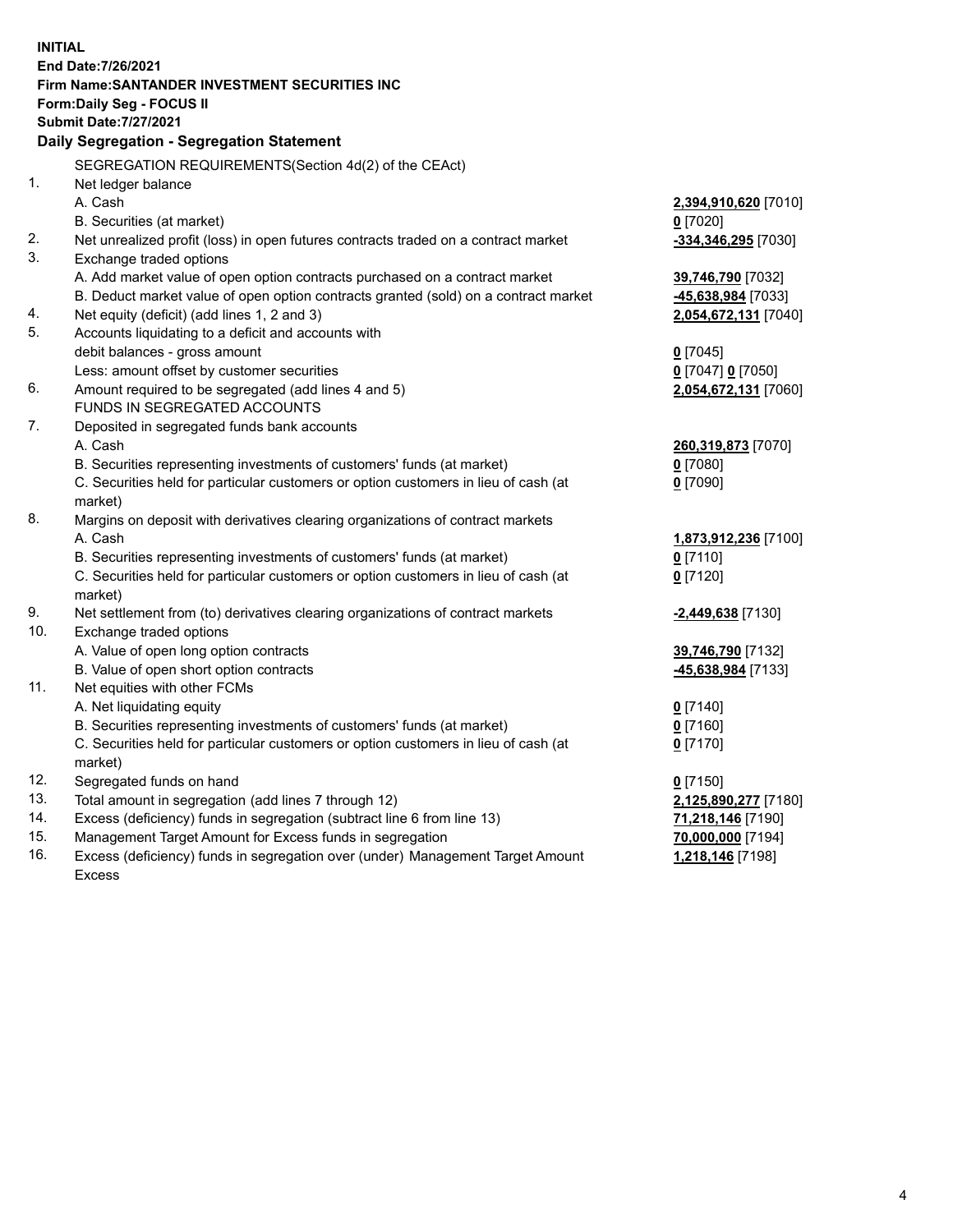| <b>INITIAL</b> |                                                                                     |                                         |  |
|----------------|-------------------------------------------------------------------------------------|-----------------------------------------|--|
|                | End Date: 7/26/2021                                                                 |                                         |  |
|                | Firm Name: SANTANDER INVESTMENT SECURITIES INC                                      |                                         |  |
|                | Form: Daily Seg - FOCUS II                                                          |                                         |  |
|                | <b>Submit Date: 7/27/2021</b>                                                       |                                         |  |
|                | Daily Segregation - Segregation Statement                                           |                                         |  |
|                | SEGREGATION REQUIREMENTS(Section 4d(2) of the CEAct)                                |                                         |  |
| 1.             | Net ledger balance                                                                  |                                         |  |
|                | A. Cash                                                                             | 2,394,910,620 [7010]                    |  |
|                | B. Securities (at market)                                                           | $0$ [7020]                              |  |
| 2.             | Net unrealized profit (loss) in open futures contracts traded on a contract market  | -334,346,295 [7030]                     |  |
| 3.             | Exchange traded options                                                             |                                         |  |
|                | A. Add market value of open option contracts purchased on a contract market         | 39,746,790 [7032]                       |  |
|                | B. Deduct market value of open option contracts granted (sold) on a contract market | -45,638,984 [7033]                      |  |
| 4.             | Net equity (deficit) (add lines 1, 2 and 3)                                         | 2,054,672,131 [7040]                    |  |
| 5.             | Accounts liquidating to a deficit and accounts with                                 |                                         |  |
|                | debit balances - gross amount                                                       | $0$ [7045]                              |  |
|                | Less: amount offset by customer securities                                          | 0 [7047] 0 [7050]                       |  |
| 6.             | Amount required to be segregated (add lines 4 and 5)                                | 2,054,672,131 [7060]                    |  |
|                | FUNDS IN SEGREGATED ACCOUNTS                                                        |                                         |  |
| 7.             | Deposited in segregated funds bank accounts                                         |                                         |  |
|                | A. Cash                                                                             | 260,319,873 [7070]                      |  |
|                | B. Securities representing investments of customers' funds (at market)              | $0$ [7080]                              |  |
|                | C. Securities held for particular customers or option customers in lieu of cash (at | $0$ [7090]                              |  |
|                | market)                                                                             |                                         |  |
| 8.             | Margins on deposit with derivatives clearing organizations of contract markets      |                                         |  |
|                | A. Cash                                                                             | 1,873,912,236 [7100]                    |  |
|                | B. Securities representing investments of customers' funds (at market)              | $0$ [7110]                              |  |
|                | C. Securities held for particular customers or option customers in lieu of cash (at | $0$ [7120]                              |  |
|                | market)                                                                             |                                         |  |
| 9.<br>10.      | Net settlement from (to) derivatives clearing organizations of contract markets     | -2,449,638 [7130]                       |  |
|                | Exchange traded options<br>A. Value of open long option contracts                   |                                         |  |
|                | B. Value of open short option contracts                                             | 39,746,790 [7132]<br>-45,638,984 [7133] |  |
| 11.            | Net equities with other FCMs                                                        |                                         |  |
|                | A. Net liquidating equity                                                           | $0$ [7140]                              |  |
|                | B. Securities representing investments of customers' funds (at market)              | $0$ [7160]                              |  |
|                | C. Securities held for particular customers or option customers in lieu of cash (at | $0$ [7170]                              |  |
|                | market)                                                                             |                                         |  |
| 12.            | Segregated funds on hand                                                            | $0$ [7150]                              |  |
| 13.            | Total amount in segregation (add lines 7 through 12)                                | 2,125,890,277 [7180]                    |  |
| 14.            | Excess (deficiency) funds in segregation (subtract line 6 from line 13)             | 71,218,146 [7190]                       |  |
| 15.            | Management Target Amount for Excess funds in segregation                            | 70,000,000 [7194]                       |  |
| 16.            | Excess (deficiency) funds in segregation over (under) Management Target Amount      | 1,218,146 [7198]                        |  |
|                | <b>Excess</b>                                                                       |                                         |  |